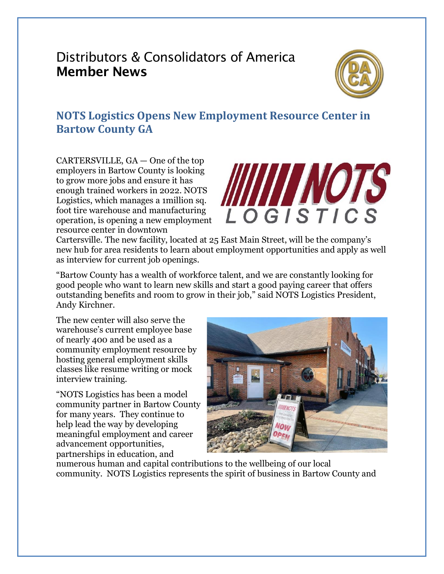# Distributors & Consolidators of America Member News



## **NOTS Logistics Opens New Employment Resource Center in Bartow County GA**

CARTERSVILLE, GA — One of the top employers in Bartow County is looking to grow more jobs and ensure it has enough trained workers in 2022. NOTS Logistics, which manages a 1million sq. foot tire warehouse and manufacturing operation, is opening a new employment resource center in downtown



Cartersville. The new facility, located at 25 East Main Street, will be the company's new hub for area residents to learn about employment opportunities and apply as well as interview for current job openings.

"Bartow County has a wealth of workforce talent, and we are constantly looking for good people who want to learn new skills and start a good paying career that offers outstanding benefits and room to grow in their job," said NOTS Logistics President, Andy Kirchner.

The new center will also serve the warehouse's current employee base of nearly 400 and be used as a community employment resource by hosting general employment skills classes like resume writing or mock interview training.

"NOTS Logistics has been a model community partner in Bartow County for many years. They continue to help lead the way by developing meaningful employment and career advancement opportunities, partnerships in education, and



numerous human and capital contributions to the wellbeing of our local community. NOTS Logistics represents the spirit of business in Bartow County and